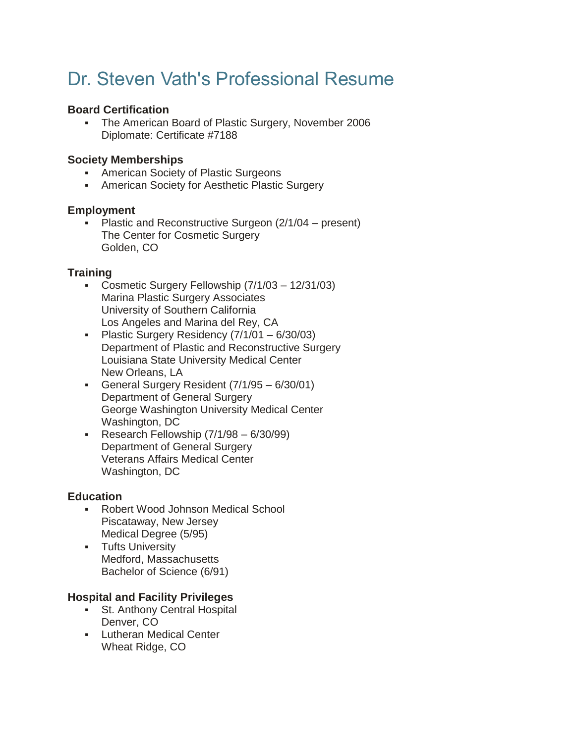# Dr. Steven Vath's Professional Resume

### **Board Certification**

▪ The American Board of Plastic Surgery, November 2006 Diplomate: Certificate #7188

### **Society Memberships**

- **American Society of Plastic Surgeons**
- **EXEDENT American Society for Aesthetic Plastic Surgery**

## **Employment**

Plastic and Reconstructive Surgeon  $(2/1/04 -$  present) The Center for Cosmetic Surgery Golden, CO

# **Training**

- Cosmetic Surgery Fellowship (7/1/03 12/31/03) Marina Plastic Surgery Associates University of Southern California Los Angeles and Marina del Rey, CA
- Plastic Surgery Residency (7/1/01 6/30/03) Department of Plastic and Reconstructive Surgery Louisiana State University Medical Center New Orleans, LA
- General Surgery Resident (7/1/95 6/30/01) Department of General Surgery George Washington University Medical Center Washington, DC
- **Research Fellowship**  $(7/1/98 6/30/99)$ Department of General Surgery Veterans Affairs Medical Center Washington, DC

#### **Education**

- Robert Wood Johnson Medical School Piscataway, New Jersey Medical Degree (5/95)
- **•** Tufts University Medford, Massachusetts Bachelor of Science (6/91)

# **Hospital and Facility Privileges**

- **St. Anthony Central Hospital** Denver, CO
- Lutheran Medical Center Wheat Ridge, CO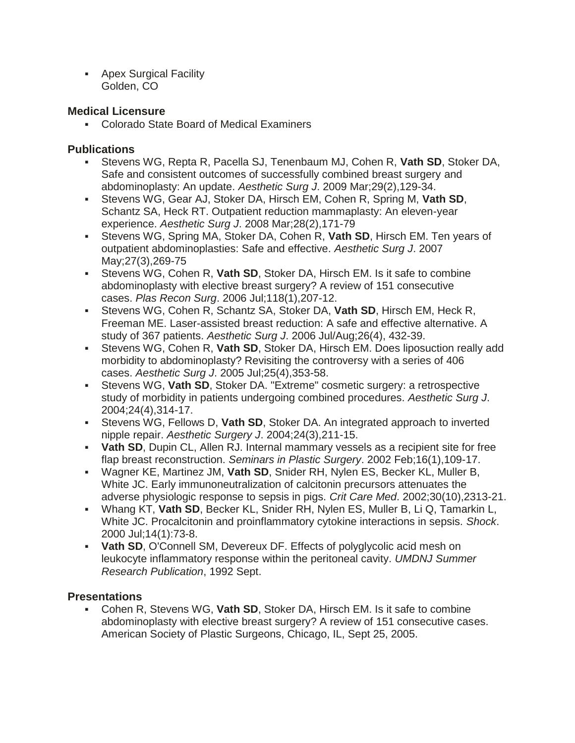**• Apex Surgical Facility** Golden, CO

### **Medical Licensure**

▪ Colorado State Board of Medical Examiners

## **Publications**

- Stevens WG, Repta R, Pacella SJ, Tenenbaum MJ, Cohen R, **Vath SD**, Stoker DA, Safe and consistent outcomes of successfully combined breast surgery and abdominoplasty: An update. *Aesthetic Surg J*. 2009 Mar;29(2),129-34.
- Stevens WG, Gear AJ, Stoker DA, Hirsch EM, Cohen R, Spring M, **Vath SD**, Schantz SA, Heck RT. Outpatient reduction mammaplasty: An eleven-year experience. *Aesthetic Surg J*. 2008 Mar;28(2),171-79
- Stevens WG, Spring MA, Stoker DA, Cohen R, **Vath SD**, Hirsch EM. Ten years of outpatient abdominoplasties: Safe and effective. *Aesthetic Surg J*. 2007 May;27(3),269-75
- Stevens WG, Cohen R, **Vath SD**, Stoker DA, Hirsch EM. Is it safe to combine abdominoplasty with elective breast surgery? A review of 151 consecutive cases. *Plas Recon Surg*. 2006 Jul;118(1),207-12.
- Stevens WG, Cohen R, Schantz SA, Stoker DA, **Vath SD**, Hirsch EM, Heck R, Freeman ME. Laser-assisted breast reduction: A safe and effective alternative. A study of 367 patients. *Aesthetic Surg J*. 2006 Jul/Aug;26(4), 432-39.
- Stevens WG, Cohen R, **Vath SD**, Stoker DA, Hirsch EM. Does liposuction really add morbidity to abdominoplasty? Revisiting the controversy with a series of 406 cases. *Aesthetic Surg J*. 2005 Jul;25(4),353-58.
- Stevens WG, **Vath SD**, Stoker DA. "Extreme" cosmetic surgery: a retrospective study of morbidity in patients undergoing combined procedures. *Aesthetic Surg J*. 2004;24(4),314-17.
- Stevens WG, Fellows D, **Vath SD**, Stoker DA. An integrated approach to inverted nipple repair. *Aesthetic Surgery J*. 2004;24(3),211-15.
- **Vath SD**, Dupin CL, Allen RJ. Internal mammary vessels as a recipient site for free flap breast reconstruction. *Seminars in Plastic Surgery*. 2002 Feb;16(1),109-17.
- Wagner KE, Martinez JM, **Vath SD**, Snider RH, Nylen ES, Becker KL, Muller B, White JC. Early immunoneutralization of calcitonin precursors attenuates the adverse physiologic response to sepsis in pigs. *Crit Care Med*. 2002;30(10),2313-21.
- Whang KT, **Vath SD**, Becker KL, Snider RH, Nylen ES, Muller B, Li Q, Tamarkin L, White JC. Procalcitonin and proinflammatory cytokine interactions in sepsis. *Shock*. 2000 Jul;14(1):73-8.
- **Vath SD**, O'Connell SM, Devereux DF. Effects of polyglycolic acid mesh on leukocyte inflammatory response within the peritoneal cavity. *UMDNJ Summer Research Publication*, 1992 Sept.

# **Presentations**

Cohen R, Stevens WG, Vath SD, Stoker DA, Hirsch EM. Is it safe to combine abdominoplasty with elective breast surgery? A review of 151 consecutive cases. American Society of Plastic Surgeons, Chicago, IL, Sept 25, 2005.